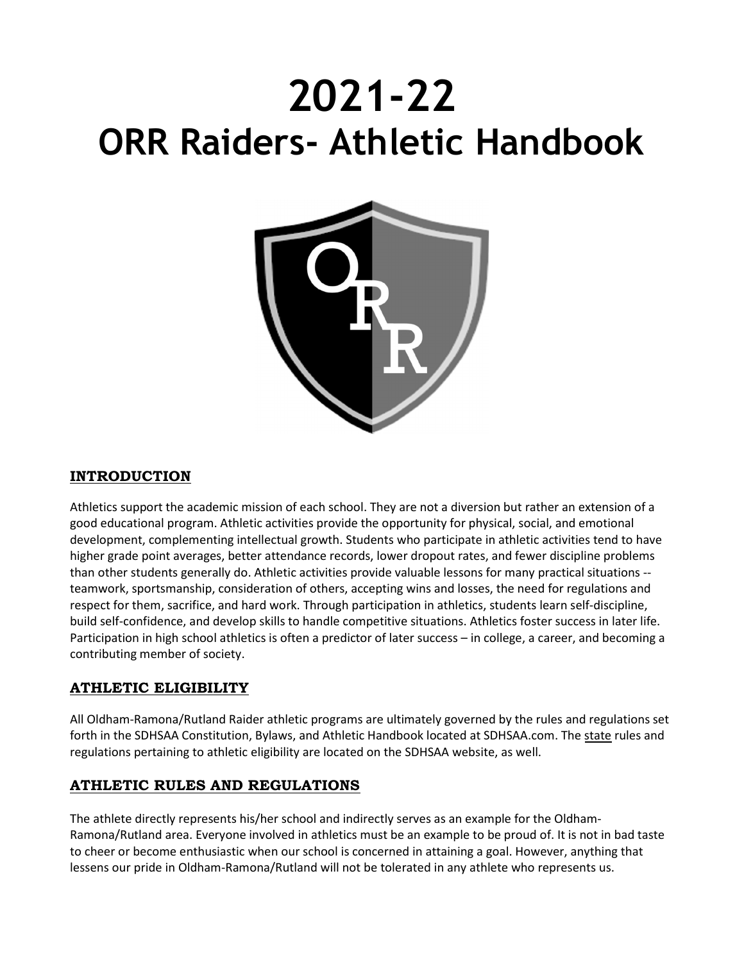# 2021-22 ORR Raiders- Athletic Handbook



# INTRODUCTION

Athletics support the academic mission of each school. They are not a diversion but rather an extension of a good educational program. Athletic activities provide the opportunity for physical, social, and emotional development, complementing intellectual growth. Students who participate in athletic activities tend to have higher grade point averages, better attendance records, lower dropout rates, and fewer discipline problems than other students generally do. Athletic activities provide valuable lessons for many practical situations - teamwork, sportsmanship, consideration of others, accepting wins and losses, the need for regulations and respect for them, sacrifice, and hard work. Through participation in athletics, students learn self-discipline, build self-confidence, and develop skills to handle competitive situations. Athletics foster success in later life. Participation in high school athletics is often a predictor of later success – in college, a career, and becoming a contributing member of society.

# ATHLETIC ELIGIBILITY

All Oldham-Ramona/Rutland Raider athletic programs are ultimately governed by the rules and regulations set forth in the SDHSAA Constitution, Bylaws, and Athletic Handbook located at SDHSAA.com. The state rules and regulations pertaining to athletic eligibility are located on the SDHSAA website, as well.

# ATHLETIC RULES AND REGULATIONS

The athlete directly represents his/her school and indirectly serves as an example for the Oldham-Ramona/Rutland area. Everyone involved in athletics must be an example to be proud of. It is not in bad taste to cheer or become enthusiastic when our school is concerned in attaining a goal. However, anything that lessens our pride in Oldham-Ramona/Rutland will not be tolerated in any athlete who represents us.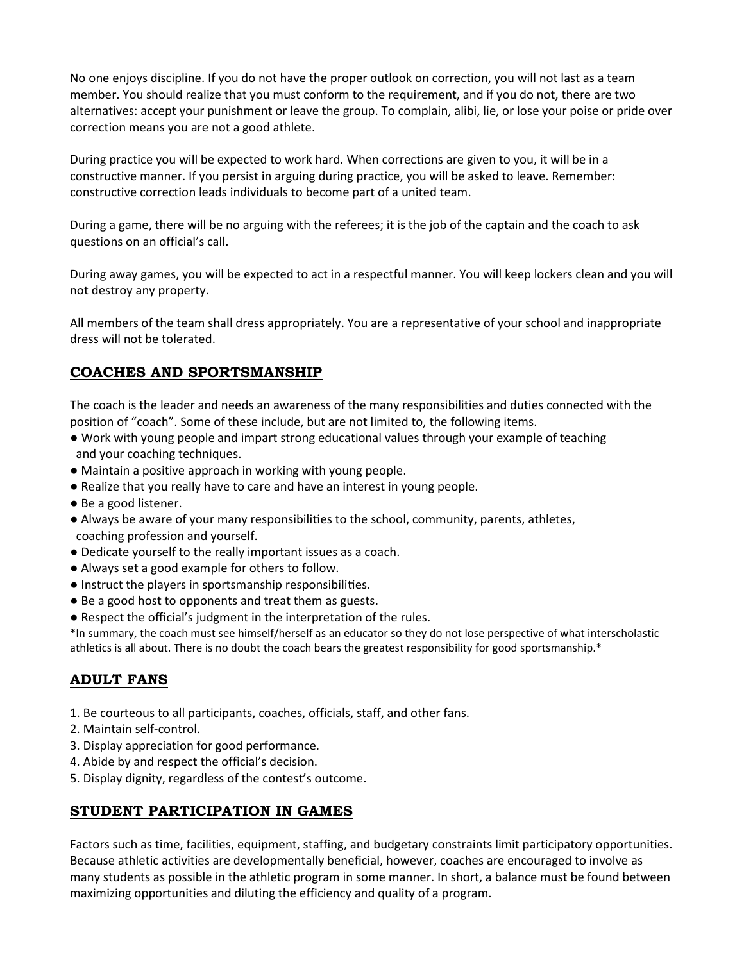No one enjoys discipline. If you do not have the proper outlook on correction, you will not last as a team member. You should realize that you must conform to the requirement, and if you do not, there are two alternatives: accept your punishment or leave the group. To complain, alibi, lie, or lose your poise or pride over correction means you are not a good athlete.

During practice you will be expected to work hard. When corrections are given to you, it will be in a constructive manner. If you persist in arguing during practice, you will be asked to leave. Remember: constructive correction leads individuals to become part of a united team.

During a game, there will be no arguing with the referees; it is the job of the captain and the coach to ask questions on an official's call.

During away games, you will be expected to act in a respectful manner. You will keep lockers clean and you will not destroy any property.

All members of the team shall dress appropriately. You are a representative of your school and inappropriate dress will not be tolerated.

# COACHES AND SPORTSMANSHIP

The coach is the leader and needs an awareness of the many responsibilities and duties connected with the position of "coach". Some of these include, but are not limited to, the following items.

- Work with young people and impart strong educational values through your example of teaching and your coaching techniques.
- Maintain a positive approach in working with young people.
- Realize that you really have to care and have an interest in young people.
- Be a good listener.
- Always be aware of your many responsibilities to the school, community, parents, athletes, coaching profession and yourself.
- Dedicate yourself to the really important issues as a coach.
- Always set a good example for others to follow.
- Instruct the players in sportsmanship responsibilities.
- Be a good host to opponents and treat them as guests.
- Respect the official's judgment in the interpretation of the rules.

\*In summary, the coach must see himself/herself as an educator so they do not lose perspective of what interscholastic athletics is all about. There is no doubt the coach bears the greatest responsibility for good sportsmanship.\*

# ADULT FANS

- 1. Be courteous to all participants, coaches, officials, staff, and other fans.
- 2. Maintain self-control.
- 3. Display appreciation for good performance.
- 4. Abide by and respect the official's decision.
- 5. Display dignity, regardless of the contest's outcome.

# STUDENT PARTICIPATION IN GAMES

Factors such as time, facilities, equipment, staffing, and budgetary constraints limit participatory opportunities. Because athletic activities are developmentally beneficial, however, coaches are encouraged to involve as many students as possible in the athletic program in some manner. In short, a balance must be found between maximizing opportunities and diluting the efficiency and quality of a program.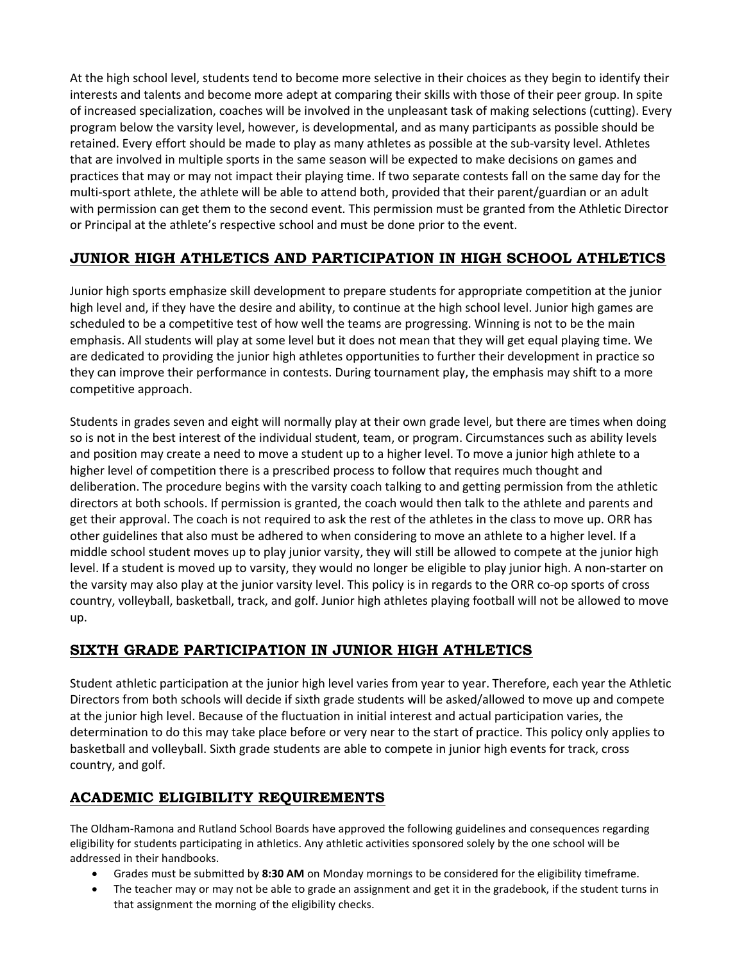At the high school level, students tend to become more selective in their choices as they begin to identify their interests and talents and become more adept at comparing their skills with those of their peer group. In spite of increased specialization, coaches will be involved in the unpleasant task of making selections (cutting). Every program below the varsity level, however, is developmental, and as many participants as possible should be retained. Every effort should be made to play as many athletes as possible at the sub-varsity level. Athletes that are involved in multiple sports in the same season will be expected to make decisions on games and practices that may or may not impact their playing time. If two separate contests fall on the same day for the multi-sport athlete, the athlete will be able to attend both, provided that their parent/guardian or an adult with permission can get them to the second event. This permission must be granted from the Athletic Director or Principal at the athlete's respective school and must be done prior to the event.

# JUNIOR HIGH ATHLETICS AND PARTICIPATION IN HIGH SCHOOL ATHLETICS

Junior high sports emphasize skill development to prepare students for appropriate competition at the junior high level and, if they have the desire and ability, to continue at the high school level. Junior high games are scheduled to be a competitive test of how well the teams are progressing. Winning is not to be the main emphasis. All students will play at some level but it does not mean that they will get equal playing time. We are dedicated to providing the junior high athletes opportunities to further their development in practice so they can improve their performance in contests. During tournament play, the emphasis may shift to a more competitive approach.

Students in grades seven and eight will normally play at their own grade level, but there are times when doing so is not in the best interest of the individual student, team, or program. Circumstances such as ability levels and position may create a need to move a student up to a higher level. To move a junior high athlete to a higher level of competition there is a prescribed process to follow that requires much thought and deliberation. The procedure begins with the varsity coach talking to and getting permission from the athletic directors at both schools. If permission is granted, the coach would then talk to the athlete and parents and get their approval. The coach is not required to ask the rest of the athletes in the class to move up. ORR has other guidelines that also must be adhered to when considering to move an athlete to a higher level. If a middle school student moves up to play junior varsity, they will still be allowed to compete at the junior high level. If a student is moved up to varsity, they would no longer be eligible to play junior high. A non-starter on the varsity may also play at the junior varsity level. This policy is in regards to the ORR co-op sports of cross country, volleyball, basketball, track, and golf. Junior high athletes playing football will not be allowed to move up.

# SIXTH GRADE PARTICIPATION IN JUNIOR HIGH ATHLETICS

Student athletic participation at the junior high level varies from year to year. Therefore, each year the Athletic Directors from both schools will decide if sixth grade students will be asked/allowed to move up and compete at the junior high level. Because of the fluctuation in initial interest and actual participation varies, the determination to do this may take place before or very near to the start of practice. This policy only applies to basketball and volleyball. Sixth grade students are able to compete in junior high events for track, cross country, and golf.

# ACADEMIC ELIGIBILITY REQUIREMENTS

The Oldham-Ramona and Rutland School Boards have approved the following guidelines and consequences regarding eligibility for students participating in athletics. Any athletic activities sponsored solely by the one school will be addressed in their handbooks.

- Grades must be submitted by 8:30 AM on Monday mornings to be considered for the eligibility timeframe.
- The teacher may or may not be able to grade an assignment and get it in the gradebook, if the student turns in that assignment the morning of the eligibility checks.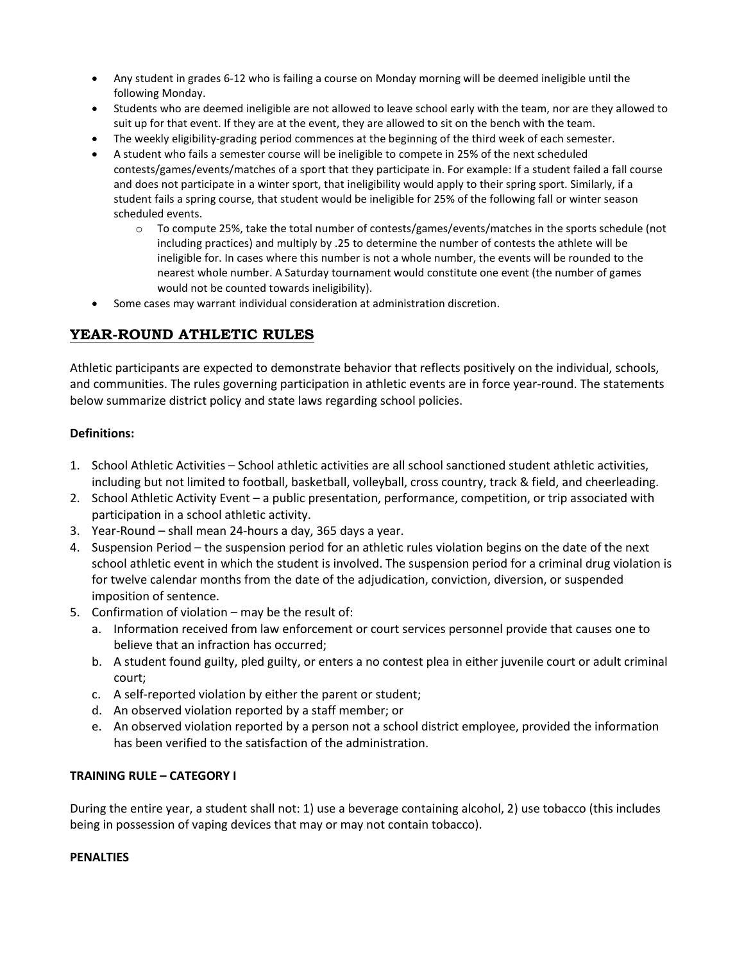- Any student in grades 6-12 who is failing a course on Monday morning will be deemed ineligible until the following Monday.
- Students who are deemed ineligible are not allowed to leave school early with the team, nor are they allowed to suit up for that event. If they are at the event, they are allowed to sit on the bench with the team.
- The weekly eligibility-grading period commences at the beginning of the third week of each semester.
- A student who fails a semester course will be ineligible to compete in 25% of the next scheduled contests/games/events/matches of a sport that they participate in. For example: If a student failed a fall course and does not participate in a winter sport, that ineligibility would apply to their spring sport. Similarly, if a student fails a spring course, that student would be ineligible for 25% of the following fall or winter season scheduled events.
	- o To compute 25%, take the total number of contests/games/events/matches in the sports schedule (not including practices) and multiply by .25 to determine the number of contests the athlete will be ineligible for. In cases where this number is not a whole number, the events will be rounded to the nearest whole number. A Saturday tournament would constitute one event (the number of games would not be counted towards ineligibility).
- Some cases may warrant individual consideration at administration discretion.

# YEAR-ROUND ATHLETIC RULES

Athletic participants are expected to demonstrate behavior that reflects positively on the individual, schools, and communities. The rules governing participation in athletic events are in force year-round. The statements below summarize district policy and state laws regarding school policies.

#### Definitions:

- 1. School Athletic Activities School athletic activities are all school sanctioned student athletic activities, including but not limited to football, basketball, volleyball, cross country, track & field, and cheerleading.
- 2. School Athletic Activity Event a public presentation, performance, competition, or trip associated with participation in a school athletic activity.
- 3. Year-Round shall mean 24-hours a day, 365 days a year.
- 4. Suspension Period the suspension period for an athletic rules violation begins on the date of the next school athletic event in which the student is involved. The suspension period for a criminal drug violation is for twelve calendar months from the date of the adjudication, conviction, diversion, or suspended imposition of sentence.
- 5. Confirmation of violation may be the result of:
	- a. Information received from law enforcement or court services personnel provide that causes one to believe that an infraction has occurred;
	- b. A student found guilty, pled guilty, or enters a no contest plea in either juvenile court or adult criminal court;
	- c. A self-reported violation by either the parent or student;
	- d. An observed violation reported by a staff member; or
	- e. An observed violation reported by a person not a school district employee, provided the information has been verified to the satisfaction of the administration.

#### TRAINING RULE – CATEGORY I

During the entire year, a student shall not: 1) use a beverage containing alcohol, 2) use tobacco (this includes being in possession of vaping devices that may or may not contain tobacco).

#### **PENALTIES**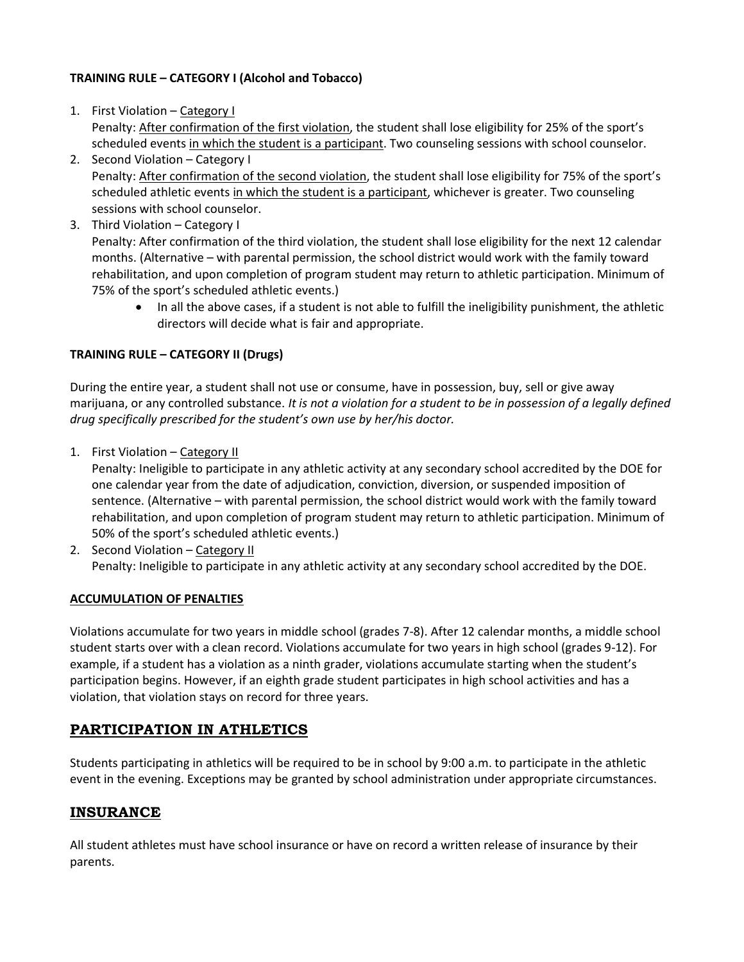#### TRAINING RULE – CATEGORY I (Alcohol and Tobacco)

- 1. First Violation Category I Penalty: After confirmation of the first violation, the student shall lose eligibility for 25% of the sport's scheduled events in which the student is a participant. Two counseling sessions with school counselor.
- 2. Second Violation Category I Penalty: After confirmation of the second violation, the student shall lose eligibility for 75% of the sport's scheduled athletic events in which the student is a participant, whichever is greater. Two counseling sessions with school counselor.
- 3. Third Violation Category I Penalty: After confirmation of the third violation, the student shall lose eligibility for the next 12 calendar months. (Alternative – with parental permission, the school district would work with the family toward rehabilitation, and upon completion of program student may return to athletic participation. Minimum of 75% of the sport's scheduled athletic events.)
	- In all the above cases, if a student is not able to fulfill the ineligibility punishment, the athletic directors will decide what is fair and appropriate.

#### TRAINING RULE – CATEGORY II (Drugs)

During the entire year, a student shall not use or consume, have in possession, buy, sell or give away marijuana, or any controlled substance. It is not a violation for a student to be in possession of a legally defined drug specifically prescribed for the student's own use by her/his doctor.

1. First Violation – Category II

Penalty: Ineligible to participate in any athletic activity at any secondary school accredited by the DOE for one calendar year from the date of adjudication, conviction, diversion, or suspended imposition of sentence. (Alternative – with parental permission, the school district would work with the family toward rehabilitation, and upon completion of program student may return to athletic participation. Minimum of 50% of the sport's scheduled athletic events.)

2. Second Violation – Category II Penalty: Ineligible to participate in any athletic activity at any secondary school accredited by the DOE.

#### ACCUMULATION OF PENALTIES

Violations accumulate for two years in middle school (grades 7-8). After 12 calendar months, a middle school student starts over with a clean record. Violations accumulate for two years in high school (grades 9-12). For example, if a student has a violation as a ninth grader, violations accumulate starting when the student's participation begins. However, if an eighth grade student participates in high school activities and has a violation, that violation stays on record for three years.

#### PARTICIPATION IN ATHLETICS

Students participating in athletics will be required to be in school by 9:00 a.m. to participate in the athletic event in the evening. Exceptions may be granted by school administration under appropriate circumstances.

#### INSURANCE

All student athletes must have school insurance or have on record a written release of insurance by their parents.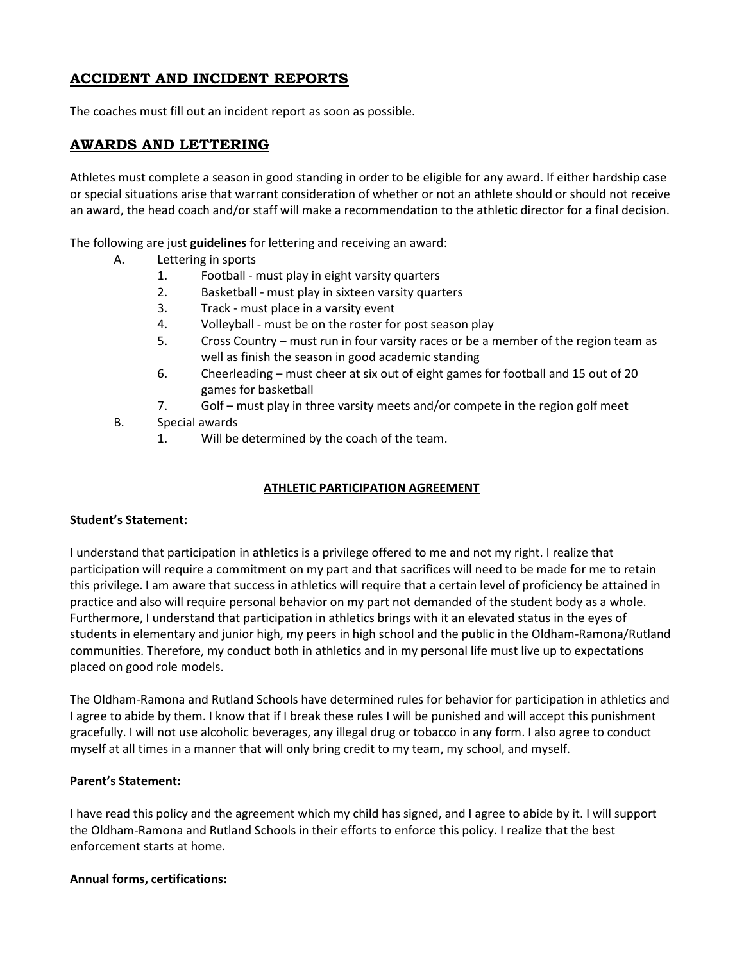# ACCIDENT AND INCIDENT REPORTS

The coaches must fill out an incident report as soon as possible.

### AWARDS AND LETTERING

Athletes must complete a season in good standing in order to be eligible for any award. If either hardship case or special situations arise that warrant consideration of whether or not an athlete should or should not receive an award, the head coach and/or staff will make a recommendation to the athletic director for a final decision.

The following are just guidelines for lettering and receiving an award:

- A. Lettering in sports
	- 1. Football must play in eight varsity quarters
	- 2. Basketball must play in sixteen varsity quarters
	- 3. Track must place in a varsity event
	- 4. Volleyball must be on the roster for post season play
	- 5. Cross Country must run in four varsity races or be a member of the region team as well as finish the season in good academic standing
	- 6. Cheerleading must cheer at six out of eight games for football and 15 out of 20 games for basketball
	- 7. Golf must play in three varsity meets and/or compete in the region golf meet
- B. Special awards
	- 1. Will be determined by the coach of the team.

#### ATHLETIC PARTICIPATION AGREEMENT

#### Student's Statement:

I understand that participation in athletics is a privilege offered to me and not my right. I realize that participation will require a commitment on my part and that sacrifices will need to be made for me to retain this privilege. I am aware that success in athletics will require that a certain level of proficiency be attained in practice and also will require personal behavior on my part not demanded of the student body as a whole. Furthermore, I understand that participation in athletics brings with it an elevated status in the eyes of students in elementary and junior high, my peers in high school and the public in the Oldham-Ramona/Rutland communities. Therefore, my conduct both in athletics and in my personal life must live up to expectations placed on good role models.

The Oldham-Ramona and Rutland Schools have determined rules for behavior for participation in athletics and I agree to abide by them. I know that if I break these rules I will be punished and will accept this punishment gracefully. I will not use alcoholic beverages, any illegal drug or tobacco in any form. I also agree to conduct myself at all times in a manner that will only bring credit to my team, my school, and myself.

#### Parent's Statement:

I have read this policy and the agreement which my child has signed, and I agree to abide by it. I will support the Oldham-Ramona and Rutland Schools in their efforts to enforce this policy. I realize that the best enforcement starts at home.

#### Annual forms, certifications: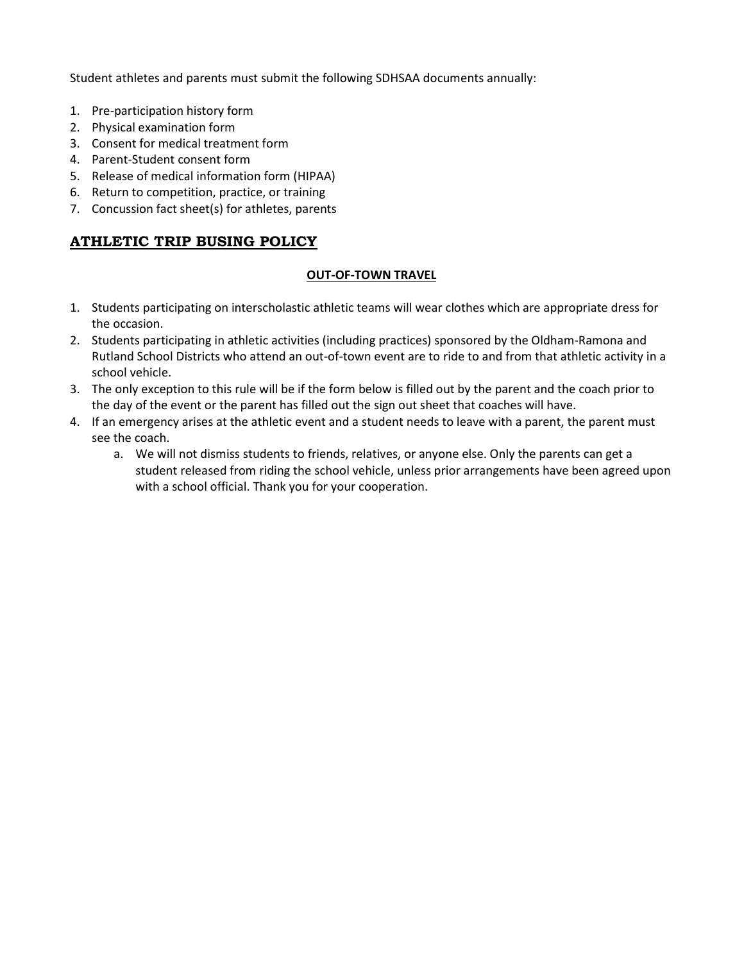Student athletes and parents must submit the following SDHSAA documents annually:

- 1. Pre-participation history form
- 2. Physical examination form
- 3. Consent for medical treatment form
- 4. Parent-Student consent form
- 5. Release of medical information form (HIPAA)
- 6. Return to competition, practice, or training
- 7. Concussion fact sheet(s) for athletes, parents

# ATHLETIC TRIP BUSING POLICY

#### OUT-OF-TOWN TRAVEL

- 1. Students participating on interscholastic athletic teams will wear clothes which are appropriate dress for the occasion.
- 2. Students participating in athletic activities (including practices) sponsored by the Oldham-Ramona and Rutland School Districts who attend an out-of-town event are to ride to and from that athletic activity in a school vehicle.
- 3. The only exception to this rule will be if the form below is filled out by the parent and the coach prior to the day of the event or the parent has filled out the sign out sheet that coaches will have.
- 4. If an emergency arises at the athletic event and a student needs to leave with a parent, the parent must see the coach.
	- a. We will not dismiss students to friends, relatives, or anyone else. Only the parents can get a student released from riding the school vehicle, unless prior arrangements have been agreed upon with a school official. Thank you for your cooperation.